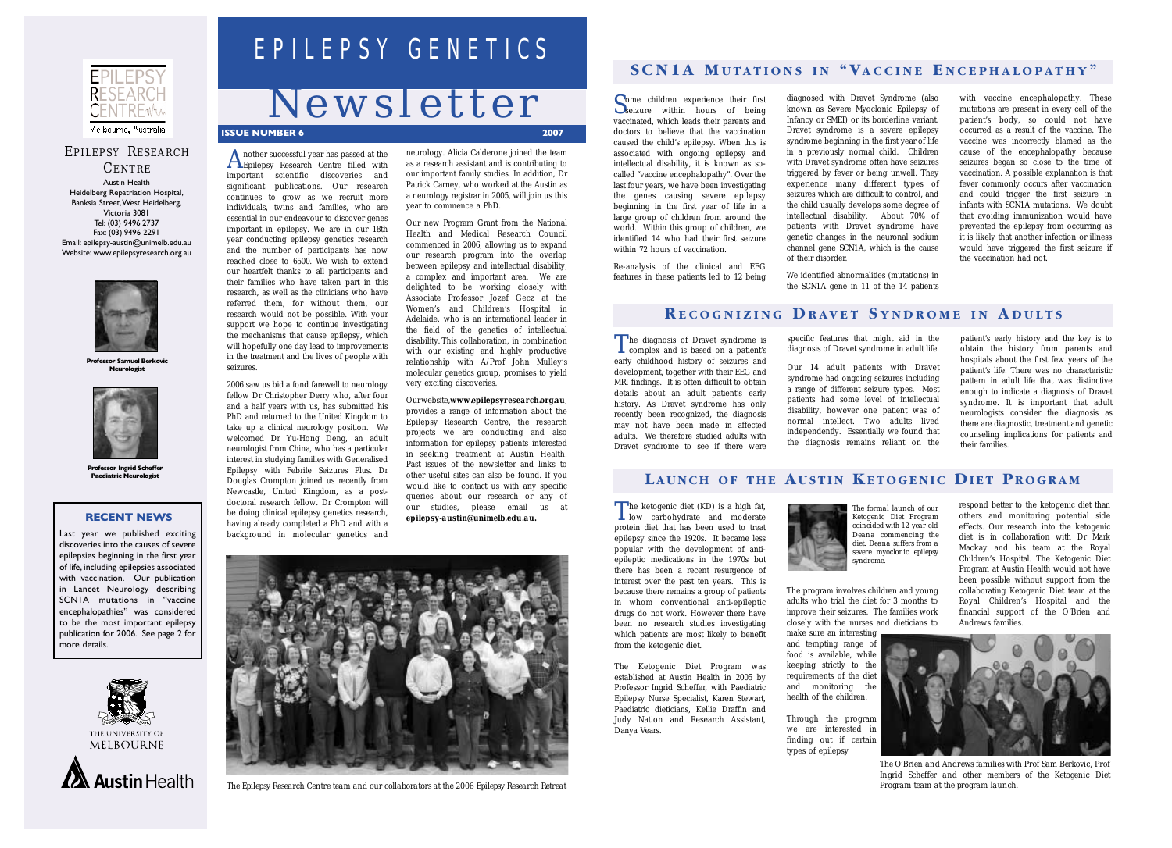The ketogenic diet (KD) is a high fat, low carbohydrate and moderate protein diet that has been used to treat epilepsy since the 1920s. It became less popular with the development of antiepileptic medications in the 1970s but there has been a recent resurgence of interest over the past ten years. This is because there remains a group of patients in whom conventional anti-epileptic drugs do not work. However there have been no research studies investigating which patients are most likely to benefit from the ketogenic diet.

The Ketogenic Diet Program was established at Austin Health in 2005 by Professor Ingrid Scheffer, with Paediatric Epilepsy Nurse Specialist, Karen Stewart, Paediatric dieticians, Kellie Draffin and Judy Nation and Research Assistant, Danya Vears.



The program involves children and young adults who trial the diet for 3 months to improve their seizures. The families work closely with the nurses and dieticians to

make sure an interesting and tempting range of food is available, while keeping strictly to the requirements of the diet and monitoring the health of the children.

Through the program we are interested in finding out if certain types of epilepsy

respond better to the ketogenic diet than others and monitoring potential side effects. Our research into the ketogenic diet is in collaboration with Dr Mark Mackay and his team at the Royal Children's Hospital. The Ketogenic Diet Program at Austin Health would not have been possible without support from the collaborating Ketogenic Diet team at the Royal Children's Hospital and the financial support of the O'Brien and Andrews families.

Some children experience their first seizure within hours of being vaccinated, which leads their parents and doctors to believe that the vaccination caused the child's epilepsy. When this is associated with ongoing epilepsy and intellectual disability, it is known as socalled "vaccine encephalopathy". Over the last four years, we have been investigating the genes causing severe epilepsy beginning in the first year of life in a large group of children from around the world. Within this group of children, we identified 14 who had their first seizure within 72 hours of vaccination.

Re-analysis of the clinical and EEG features in these patients led to 12 being

diagnosed with Dravet Syndrome (also known as Severe Myoclonic Epilepsy of Infancy or SMEI) or its borderline variant. Dravet syndrome is a severe epilepsy syndrome beginning in the first year of life in a previously normal child. Children with Dravet syndrome often have seizures triggered by fever or being unwell. They experience many different types of seizures which are difficult to control, and the child usually develops some degree of intellectual disability. About 70% of patients with Dravet syndrome have genetic changes in the neuronal sodium channel gene *SCN1A*, which is the cause of their disorder.

We identified abnormalities (mutations) in the *SCN1A* gene in 11 of the 14 patients

Our website, www.epilepsyresearch.org.au, provides a range of information about the Epilepsy Research Centre, the research projects we are conducting and also information for epilepsy patients interested in seeking treatment at Austin Health. Past issues of the newsletter and links to other useful sites can also be found. If you would like to contact us with any specific queries about our research or any of our studies, please email us at *epilepsy-austin@unimelb.edu.au.*

with vaccine encephalopathy. These mutations are present in every cell of the patient's body, so could not have occurred as a result of the vaccine. The vaccine was incorrectly blamed as the cause of the encephalopathy because seizures began so close to the time of vaccination. A possible explanation is that fever commonly occurs after vaccination and could trigger the first seizure in infants with *SCN1A* mutations. We doubt that avoiding immunization would have prevented the epilepsy from occurring as it is likely that another infection or illness would have triggered the first seizure if the vaccination had not.

The diagnosis of Dravet syndrome is<br>complex and is based on a patient's early childhood history of seizures and development, together with their EEG and MRI findings. It is often difficult to obtain details about an adult patient's early history. As Dravet syndrome has only recently been recognized, the diagnosis may not have been made in affected adults. We therefore studied adults with Dravet syndrome to see if there were

Another successful year has passed at the Epilepsy Research Centre filled with important scientific discoveries and significant publications. Our research continues to grow as we recruit more individuals, twins and families, who are essential in our endeavour to discover genes important in epilepsy. We are in our 18th year conducting epilepsy genetics research and the number of participants has now reached close to 6500. We wish to extend our heartfelt thanks to all participants and their families who have taken part in this research, as well as the clinicians who have referred them, for without them, our research would not be possible. With your support we hope to continue investigating the mechanisms that cause epilepsy, which will hopefully one day lead to improvements in the treatment and the lives of people with seizures.

2006 saw us bid a fond farewell to neurology fellow Dr Christopher Derry who, after four and a half years with us, has submitted his PhD and returned to the United Kingdom to take up a clinical neurology position. We welcomed Dr Yu-Hong Deng, an adult neurologist from China, who has a particular interest in studying families with Generalised Epilepsy with Febrile Seizures Plus. Dr Douglas Crompton joined us recently from Newcastle, United Kingdom, as a postdoctoral research fellow. Dr Crompton will be doing clinical epilepsy genetics research, having already completed a PhD and with a background in molecular genetics and

neurology. Alicia Calderone joined the team as a research assistant and is contributing to our important family studies. In addition, Dr Patrick Carney, who worked at the Austin as a neurology registrar in 2005, will join us this year to commence a PhD.

Our new Program Grant from the National Health and Medical Research Council commenced in 2006, allowing us to expand our research program into the overlap between epilepsy and intellectual disability, a complex and important area. We are delighted to be working closely with Associate Professor Jozef Gecz at the Women's and Children's Hospital in Adelaide, who is an international leader in the field of the genetics of intellectual disability. This collaboration, in combination with our existing and highly productive relationship with A/Prof John Mulley's molecular genetics group, promises to yield very exciting discoveries.

# EPILEPSY GENETICS

# *Newsletter*

#### **ISSUE NUMBER 6**



## EPILEPSY RESEARCH

CENTRE Austin Health Heidelberg Repatriation Hospital, Banksia Street,West Heidelberg, Victoria 3081 Tel:(03) 9496 2737 Fax:(03) 9496 2291 Email:epilepsy-austin@unimelb.edu.au Website:www.epilepsyresearch.org.au



**Professor Samuel Berkovic Neurologist**



**Professor Ingrid Scheffer**<br>**Paediatric Neurologist** 



*The Epilepsy Research Centre team and our collaborators at the 2006 Epilepsy Research Retreat*

specific features that might aid in the diagnosis of Dravet syndrome in adult life. Our 14 adult patients with Dravet syndrome had ongoing seizures including a range of different seizure types. Most patients had some level of intellectual disability, however one patient was of normal intellect. Two adults lived independently. Essentially we found that the diagnosis remains reliant on the

#### LAUNCH OF THE AUSTIN KETOGENIC DIET PROGRAM

patient's early history and the key is to obtain the history from parents and hospitals about the first few years of the patient's life. There was no characteristic pattern in adult life that was distinctive enough to indicate a diagnosis of Dravet syndrome. It is important that adult neurologists consider the diagnosis as there are diagnostic, treatment and genetic counseling implications for patients and their families.



#### **R ECOGNIZING D RAVET S YNDROME IN A DULTS**

## **SCN1A M UTATIONS IN " VACCINE E NCEPHALOPATHY "**

#### **RECENT NEWS**

Last year we published exciting discoveries into the causes of severe epilepsies beginning in the first year of life, including epilepsies associated with vaccination. Our publication in Lancet Neurology describing SCN1A mutations in "vaccine encephalopathies" was considered to be the most important epilepsy publication for 2006. See page 2 for more details.





*The formal launch of our Ketogenic Diet Program coincided with 12-year-old Deana commencing the diet. Deana suffers from a severe myoclonic epilepsy syndrome.* 



*The O'Brien and Andrews families with Prof Sam Berkovic, Prof Ingrid Scheffer and other members of the Ketogenic Diet Program team at the program launch.*